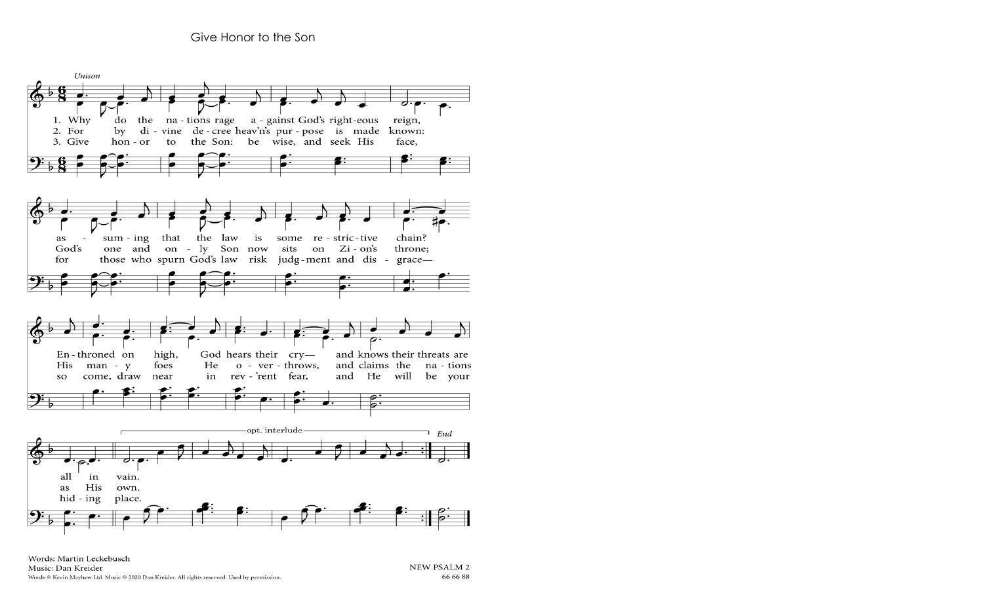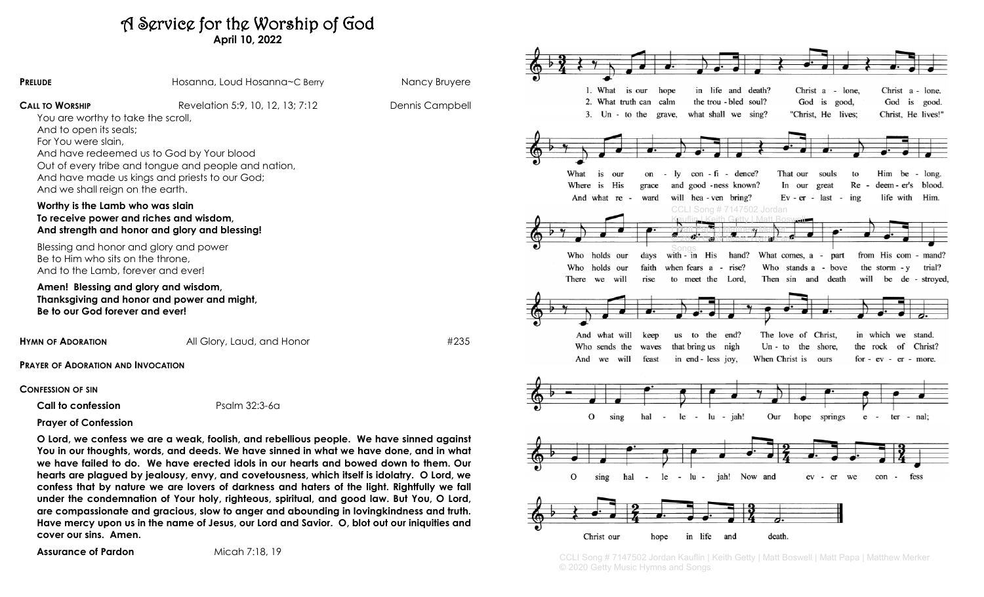# A Service for the Worship of God **April 10, 2022**



Assurance of Pardon Micah 7:18, 19 Micah 7:18, 19 Micah 7:18, 19 Micah 7:18, 19 Micah 2:18 orden to the Sough 2014 of the Solution of the Sough 2014 of the Solution CCLI Song # 7147502 Jordan Kauflin | Keith Getty | Matt B © 2020 Getty Music Hymns and Songs